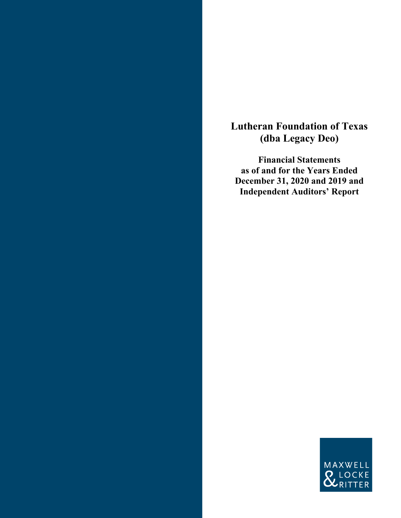**Financial Statements as of and for the Years Ended December 31, 2020 and 2019 and Independent Auditors' Report**

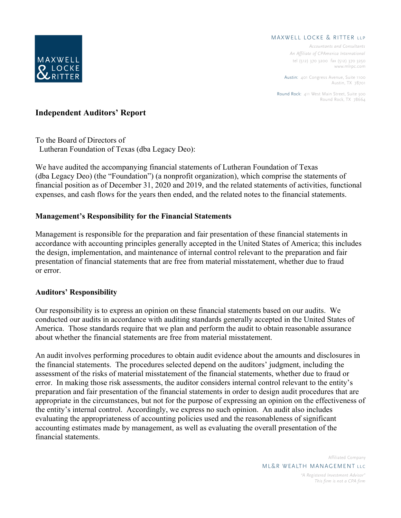

#### MAXWELL LOCKE & RITTER LLP

*Accountants and Consultants An Affiliate of CPAmerica International* tel (512) 370 3200 fax (512) 370 3250 www.mlrpc.com

Austin: 401 Congress Avenue, Suite 1100 Austin, TX 78701

Round Rock: 411 West Main Street, Suite 300 Round Rock, TX 78664

## **Independent Auditors' Report**

To the Board of Directors of Lutheran Foundation of Texas (dba Legacy Deo):

We have audited the accompanying financial statements of Lutheran Foundation of Texas (dba Legacy Deo) (the "Foundation") (a nonprofit organization), which comprise the statements of financial position as of December 31, 2020 and 2019, and the related statements of activities, functional expenses, and cash flows for the years then ended, and the related notes to the financial statements.

### **Management's Responsibility for the Financial Statements**

Management is responsible for the preparation and fair presentation of these financial statements in accordance with accounting principles generally accepted in the United States of America; this includes the design, implementation, and maintenance of internal control relevant to the preparation and fair presentation of financial statements that are free from material misstatement, whether due to fraud or error.

#### **Auditors' Responsibility**

Our responsibility is to express an opinion on these financial statements based on our audits. We conducted our audits in accordance with auditing standards generally accepted in the United States of America. Those standards require that we plan and perform the audit to obtain reasonable assurance about whether the financial statements are free from material misstatement.

An audit involves performing procedures to obtain audit evidence about the amounts and disclosures in the financial statements. The procedures selected depend on the auditors' judgment, including the assessment of the risks of material misstatement of the financial statements, whether due to fraud or error. In making those risk assessments, the auditor considers internal control relevant to the entity's preparation and fair presentation of the financial statements in order to design audit procedures that are appropriate in the circumstances, but not for the purpose of expressing an opinion on the effectiveness of the entity's internal control. Accordingly, we express no such opinion. An audit also includes evaluating the appropriateness of accounting policies used and the reasonableness of significant accounting estimates made by management, as well as evaluating the overall presentation of the financial statements.

Affiliated Company

*"A Registered Investment Advisor" This firm is not a CPA firm* ML&R WEALTH MANAGEMENT LLC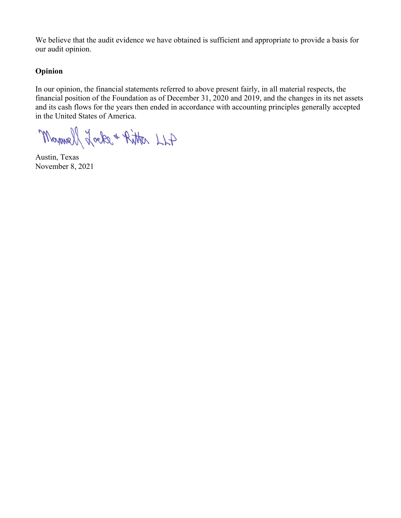We believe that the audit evidence we have obtained is sufficient and appropriate to provide a basis for our audit opinion.

## **Opinion**

In our opinion, the financial statements referred to above present fairly, in all material respects, the financial position of the Foundation as of December 31, 2020 and 2019, and the changes in its net assets and its cash flows for the years then ended in accordance with accounting principles generally accepted in the United States of America.

Maxwell Locke + Ritter LLA

Austin, Texas November 8, 2021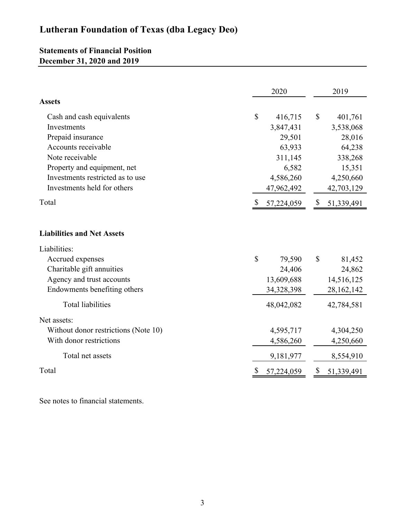# **Statements of Financial Position December 31, 2020 and 2019**

| <b>Assets</b>                        |    | 2020         |              | 2019       |
|--------------------------------------|----|--------------|--------------|------------|
| Cash and cash equivalents            | \$ | 416,715      | \$           | 401,761    |
| Investments                          |    | 3,847,431    |              | 3,538,068  |
| Prepaid insurance                    |    | 29,501       |              | 28,016     |
| Accounts receivable                  |    | 63,933       |              | 64,238     |
| Note receivable                      |    | 311,145      |              | 338,268    |
| Property and equipment, net          |    | 6,582        |              | 15,351     |
| Investments restricted as to use     |    | 4,586,260    |              | 4,250,660  |
| Investments held for others          |    | 47,962,492   |              | 42,703,129 |
| Total                                | \$ | 57,224,059   | \$           | 51,339,491 |
| <b>Liabilities and Net Assets</b>    |    |              |              |            |
| Liabilities:                         |    |              |              |            |
| Accrued expenses                     | \$ | 79,590       | $\mathbb{S}$ | 81,452     |
| Charitable gift annuities            |    | 24,406       |              | 24,862     |
| Agency and trust accounts            |    | 13,609,688   |              | 14,516,125 |
| Endowments benefiting others         |    | 34, 328, 398 |              | 28,162,142 |
| <b>Total liabilities</b>             |    | 48,042,082   |              | 42,784,581 |
| Net assets:                          |    |              |              |            |
| Without donor restrictions (Note 10) |    | 4,595,717    |              | 4,304,250  |
| With donor restrictions              |    | 4,586,260    |              | 4,250,660  |
| Total net assets                     |    | 9,181,977    |              | 8,554,910  |
| Total                                | S  | 57,224,059   | \$           | 51,339,491 |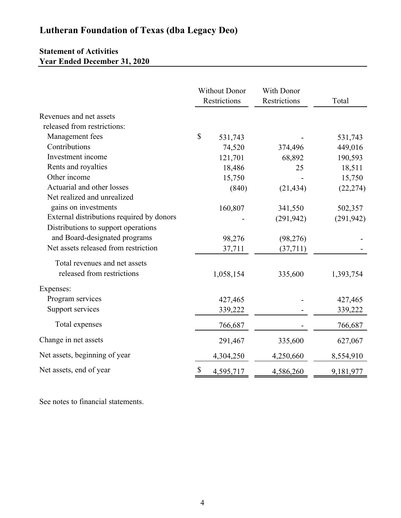# **Statement of Activities Year Ended December 31, 2020**

|                                           |                           | <b>Without Donor</b><br>Restrictions | With Donor<br>Restrictions | Total      |  |
|-------------------------------------------|---------------------------|--------------------------------------|----------------------------|------------|--|
| Revenues and net assets                   |                           |                                      |                            |            |  |
| released from restrictions:               |                           |                                      |                            |            |  |
| Management fees                           | $\mathbb{S}$              | 531,743                              |                            | 531,743    |  |
| Contributions                             |                           | 74,520                               | 374,496                    | 449,016    |  |
| Investment income                         |                           | 121,701                              | 68,892                     | 190,593    |  |
| Rents and royalties                       |                           | 18,486                               | 25                         | 18,511     |  |
| Other income                              |                           | 15,750                               |                            | 15,750     |  |
| Actuarial and other losses                |                           | (840)                                | (21, 434)                  | (22, 274)  |  |
| Net realized and unrealized               |                           |                                      |                            |            |  |
| gains on investments                      |                           | 160,807                              | 341,550                    | 502,357    |  |
| External distributions required by donors |                           |                                      | (291, 942)                 | (291, 942) |  |
| Distributions to support operations       |                           |                                      |                            |            |  |
| and Board-designated programs             |                           | 98,276                               | (98,276)                   |            |  |
| Net assets released from restriction      |                           | 37,711                               | (37,711)                   |            |  |
| Total revenues and net assets             |                           |                                      |                            |            |  |
| released from restrictions                |                           | 1,058,154                            | 335,600                    | 1,393,754  |  |
| Expenses:                                 |                           |                                      |                            |            |  |
| Program services                          |                           | 427,465                              |                            | 427,465    |  |
| Support services                          |                           | 339,222                              |                            | 339,222    |  |
| Total expenses                            |                           | 766,687                              |                            | 766,687    |  |
| Change in net assets                      |                           | 291,467                              | 335,600                    | 627,067    |  |
| Net assets, beginning of year             |                           | 4,304,250                            | 4,250,660                  | 8,554,910  |  |
| Net assets, end of year                   | $\boldsymbol{\mathsf{S}}$ | 4,595,717                            | 4,586,260                  | 9,181,977  |  |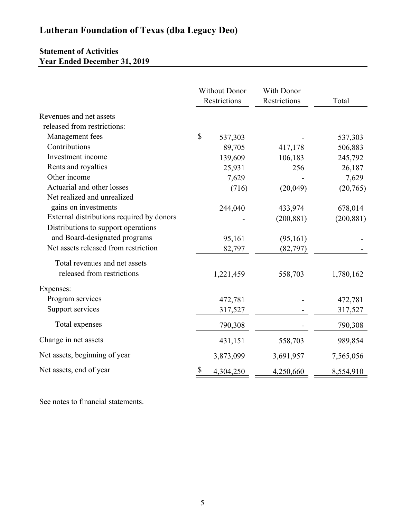# **Statement of Activities Year Ended December 31, 2019**

|                                           |                           | <b>Without Donor</b><br>Restrictions | With Donor<br>Restrictions | Total      |  |
|-------------------------------------------|---------------------------|--------------------------------------|----------------------------|------------|--|
| Revenues and net assets                   |                           |                                      |                            |            |  |
| released from restrictions:               |                           |                                      |                            |            |  |
| Management fees                           | $\mathbb{S}$              | 537,303                              |                            | 537,303    |  |
| Contributions                             |                           | 89,705                               | 417,178                    | 506,883    |  |
| Investment income                         |                           | 139,609                              | 106,183                    | 245,792    |  |
| Rents and royalties                       |                           | 25,931                               | 256                        | 26,187     |  |
| Other income                              |                           | 7,629                                |                            | 7,629      |  |
| Actuarial and other losses                |                           | (716)                                | (20,049)                   | (20,765)   |  |
| Net realized and unrealized               |                           |                                      |                            |            |  |
| gains on investments                      |                           | 244,040                              | 433,974                    | 678,014    |  |
| External distributions required by donors |                           |                                      | (200, 881)                 | (200, 881) |  |
| Distributions to support operations       |                           |                                      |                            |            |  |
| and Board-designated programs             |                           | 95,161                               | (95,161)                   |            |  |
| Net assets released from restriction      |                           | 82,797                               | (82, 797)                  |            |  |
| Total revenues and net assets             |                           |                                      |                            |            |  |
| released from restrictions                |                           | 1,221,459                            | 558,703                    | 1,780,162  |  |
| Expenses:                                 |                           |                                      |                            |            |  |
| Program services                          |                           | 472,781                              |                            | 472,781    |  |
| Support services                          |                           | 317,527                              |                            | 317,527    |  |
| Total expenses                            |                           | 790,308                              |                            | 790,308    |  |
| Change in net assets                      |                           | 431,151                              | 558,703                    | 989,854    |  |
| Net assets, beginning of year             |                           | 3,873,099                            | 3,691,957                  | 7,565,056  |  |
| Net assets, end of year                   | $\boldsymbol{\mathsf{S}}$ | 4,304,250                            | 4,250,660                  | 8,554,910  |  |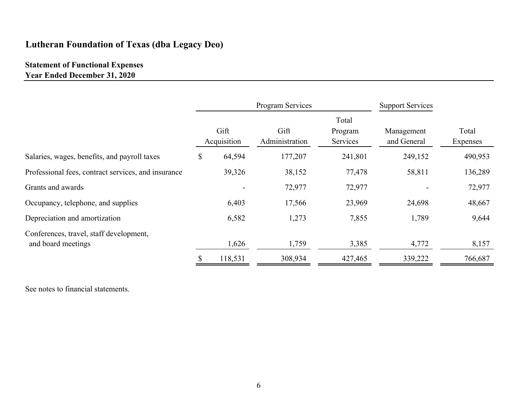### **Statement of Functional Ex penses Year Ended December 31, 2020**

|                                                               | Program Services |                     |                        | <b>Support Services</b>      |                           |                   |
|---------------------------------------------------------------|------------------|---------------------|------------------------|------------------------------|---------------------------|-------------------|
|                                                               |                  | Gift<br>Acquisition | Gift<br>Administration | Total<br>Program<br>Services | Management<br>and General | Total<br>Expenses |
| Salaries, wages, benefits, and payroll taxes                  | \$               | 64,594              | 177,207                | 241,801                      | 249,152                   | 490,953           |
| Professional fees, contract services, and insurance           |                  | 39,326              | 38,152                 | 77,478                       | 58,811                    | 136,289           |
| Grants and awards                                             |                  |                     | 72,977                 | 72,977                       |                           | 72,977            |
| Occupancy, telephone, and supplies                            |                  | 6,403               | 17,566                 | 23,969                       | 24,698                    | 48,667            |
| Depreciation and amortization                                 |                  | 6,582               | 1,273                  | 7,855                        | 1,789                     | 9,644             |
| Conferences, travel, staff development,<br>and board meetings |                  | 1,626               | 1,759                  | 3,385                        | 4,772                     | 8,157             |
|                                                               |                  | 118,531             | 308,934                | 427,465                      | 339,222                   | 766,687           |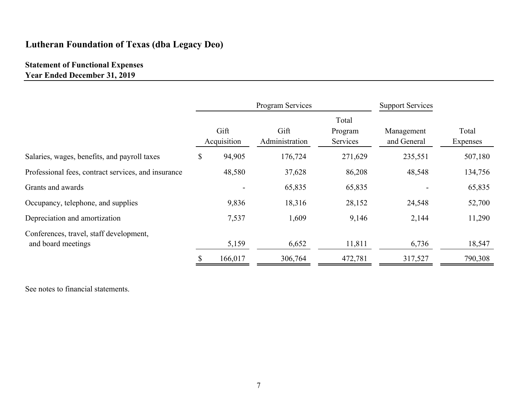## **Statement of Functional Ex penses Year Ended December 31, 2019**

|                                                     | Program Services |                     |                        | <b>Support Services</b>             |                           |                          |
|-----------------------------------------------------|------------------|---------------------|------------------------|-------------------------------------|---------------------------|--------------------------|
|                                                     |                  | Gift<br>Acquisition | Gift<br>Administration | Total<br>Program<br><b>Services</b> | Management<br>and General | Total<br><b>Expenses</b> |
| Salaries, wages, benefits, and payroll taxes        | \$               | 94,905              | 176,724                | 271,629                             | 235,551                   | 507,180                  |
| Professional fees, contract services, and insurance |                  | 48,580              | 37,628                 | 86,208                              | 48,548                    | 134,756                  |
| Grants and awards                                   |                  |                     | 65,835                 | 65,835                              |                           | 65,835                   |
| Occupancy, telephone, and supplies                  |                  | 9,836               | 18,316                 | 28,152                              | 24,548                    | 52,700                   |
| Depreciation and amortization                       |                  | 7,537               | 1,609                  | 9,146                               | 2,144                     | 11,290                   |
| Conferences, travel, staff development,             |                  |                     |                        |                                     |                           |                          |
| and board meetings                                  |                  | 5,159               | 6,652                  | 11,811                              | 6,736                     | 18,547                   |
|                                                     |                  | 166,017             | 306,764                | 472,781                             | 317,527                   | 790,308                  |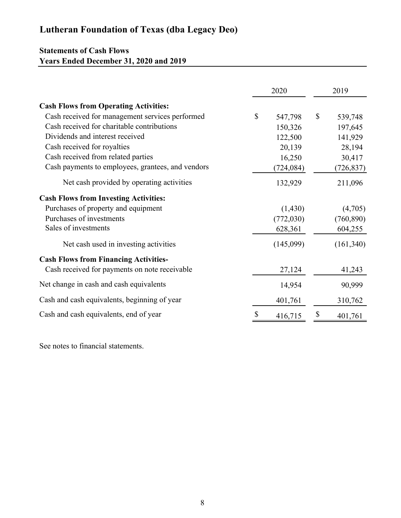# **Statements of Cash Flows Years Ended December 31, 2020 and 2019**

|                                                   | 2020 |            | 2019 |            |
|---------------------------------------------------|------|------------|------|------------|
| <b>Cash Flows from Operating Activities:</b>      |      |            |      |            |
| Cash received for management services performed   | \$   | 547,798    | \$   | 539,748    |
| Cash received for charitable contributions        |      | 150,326    |      | 197,645    |
| Dividends and interest received                   |      | 122,500    |      | 141,929    |
| Cash received for royalties                       |      | 20,139     |      | 28,194     |
| Cash received from related parties                |      | 16,250     |      | 30,417     |
| Cash payments to employees, grantees, and vendors |      | (724, 084) |      | (726, 837) |
| Net cash provided by operating activities         |      | 132,929    |      | 211,096    |
| <b>Cash Flows from Investing Activities:</b>      |      |            |      |            |
| Purchases of property and equipment               |      | (1,430)    |      | (4,705)    |
| Purchases of investments                          |      | (772, 030) |      | (760, 890) |
| Sales of investments                              |      | 628,361    |      | 604,255    |
| Net cash used in investing activities             |      | (145,099)  |      | (161,340)  |
| <b>Cash Flows from Financing Activities-</b>      |      |            |      |            |
| Cash received for payments on note receivable     |      | 27,124     |      | 41,243     |
| Net change in cash and cash equivalents           |      | 14,954     |      | 90,999     |
| Cash and cash equivalents, beginning of year      |      | 401,761    |      | 310,762    |
| Cash and cash equivalents, end of year            | \$   | 416,715    | \$   | 401,761    |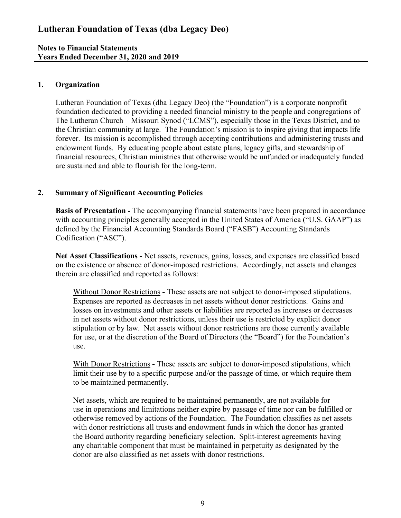### **Notes to Financial Statements Years Ended December 31, 2020 and 2019**

#### **1. Organization**

Lutheran Foundation of Texas (dba Legacy Deo) (the "Foundation") is a corporate nonprofit foundation dedicated to providing a needed financial ministry to the people and congregations of The Lutheran Church—Missouri Synod ("LCMS"), especially those in the Texas District, and to the Christian community at large. The Foundation's mission is to inspire giving that impacts life forever. Its mission is accomplished through accepting contributions and administering trusts and endowment funds. By educating people about estate plans, legacy gifts, and stewardship of financial resources, Christian ministries that otherwise would be unfunded or inadequately funded are sustained and able to flourish for the long-term.

### **2. Summary of Significant Accounting Policies**

**Basis of Presentation -** The accompanying financial statements have been prepared in accordance with accounting principles generally accepted in the United States of America ("U.S. GAAP") as defined by the Financial Accounting Standards Board ("FASB") Accounting Standards Codification ("ASC").

**Net Asset Classifications -** Net assets, revenues, gains, losses, and expenses are classified based on the existence or absence of donor-imposed restrictions. Accordingly, net assets and changes therein are classified and reported as follows:

Without Donor Restrictions **-** These assets are not subject to donor-imposed stipulations. Expenses are reported as decreases in net assets without donor restrictions. Gains and losses on investments and other assets or liabilities are reported as increases or decreases in net assets without donor restrictions, unless their use is restricted by explicit donor stipulation or by law. Net assets without donor restrictions are those currently available for use, or at the discretion of the Board of Directors (the "Board") for the Foundation's use.

With Donor Restrictions - These assets are subject to donor-imposed stipulations, which limit their use by to a specific purpose and/or the passage of time, or which require them to be maintained permanently.

Net assets, which are required to be maintained permanently, are not available for use in operations and limitations neither expire by passage of time nor can be fulfilled or otherwise removed by actions of the Foundation. The Foundation classifies as net assets with donor restrictions all trusts and endowment funds in which the donor has granted the Board authority regarding beneficiary selection. Split-interest agreements having any charitable component that must be maintained in perpetuity as designated by the donor are also classified as net assets with donor restrictions.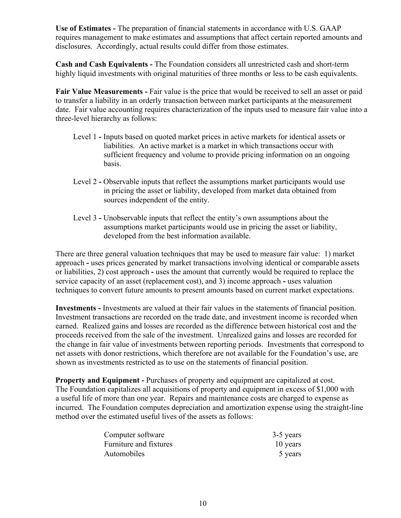**Use of Estimates -** The preparation of financial statements in accordance with U.S. GAAP requires management to make estimates and assumptions that affect certain reported amounts and disclosures. Accordingly, actual results could differ from those estimates.

**Cash and Cash Equivalents -** The Foundation considers all unrestricted cash and short-term highly liquid investments with original maturities of three months or less to be cash equivalents.

**Fair Value Measurements - Fair value is the price that would be received to sell an asset or paid** to transfer a liability in an orderly transaction between market participants at the measurement date. Fair value accounting requires characterization of the inputs used to measure fair value into a three-level hierarchy as follows:

- Level 1 **-** Inputs based on quoted market prices in active markets for identical assets or liabilities. An active market is a market in which transactions occur with sufficient frequency and volume to provide pricing information on an ongoing basis.
- Level 2 **-** Observable inputs that reflect the assumptions market participants would use in pricing the asset or liability, developed from market data obtained from sources independent of the entity.
- Level 3 **-** Unobservable inputs that reflect the entity's own assumptions about the assumptions market participants would use in pricing the asset or liability, developed from the best information available.

There are three general valuation techniques that may be used to measure fair value: 1) market approach **-** uses prices generated by market transactions involving identical or comparable assets or liabilities, 2) cost approach **-** uses the amount that currently would be required to replace the service capacity of an asset (replacement cost), and 3) income approach **-** uses valuation techniques to convert future amounts to present amounts based on current market expectations.

**Investments -** Investments are valued at their fair values in the statements of financial position. Investment transactions are recorded on the trade date, and investment income is recorded when earned. Realized gains and losses are recorded as the difference between historical cost and the proceeds received from the sale of the investment. Unrealized gains and losses are recorded for the change in fair value of investments between reporting periods. Investments that correspond to net assets with donor restrictions, which therefore are not available for the Foundation's use, are shown as investments restricted as to use on the statements of financial position.

**Property and Equipment - Purchases of property and equipment are capitalized at cost.** The Foundation capitalizes all acquisitions of property and equipment in excess of \$1,000 with a useful life of more than one year. Repairs and maintenance costs are charged to expense as incurred. The Foundation computes depreciation and amortization expense using the straight-line method over the estimated useful lives of the assets as follows:

| Computer software      | 3-5 years |
|------------------------|-----------|
| Furniture and fixtures | 10 years  |
| Automobiles            | 5 years   |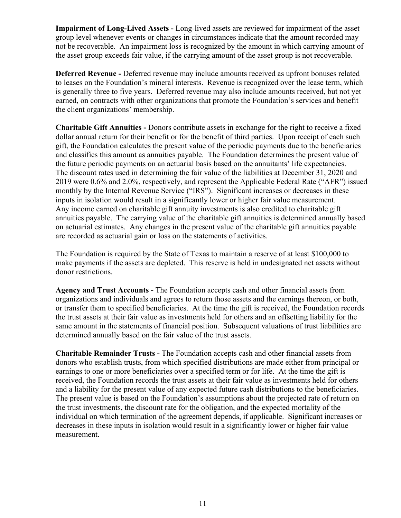**Impairment of Long-Lived Assets -** Long-lived assets are reviewed for impairment of the asset group level whenever events or changes in circumstances indicate that the amount recorded may not be recoverable. An impairment loss is recognized by the amount in which carrying amount of the asset group exceeds fair value, if the carrying amount of the asset group is not recoverable.

**Deferred Revenue -** Deferred revenue may include amounts received as upfront bonuses related to leases on the Foundation's mineral interests. Revenue is recognized over the lease term, which is generally three to five years. Deferred revenue may also include amounts received, but not yet earned, on contracts with other organizations that promote the Foundation's services and benefit the client organizations' membership.

**Charitable Gift Annuities -** Donors contribute assets in exchange for the right to receive a fixed dollar annual return for their benefit or for the benefit of third parties. Upon receipt of each such gift, the Foundation calculates the present value of the periodic payments due to the beneficiaries and classifies this amount as annuities payable. The Foundation determines the present value of the future periodic payments on an actuarial basis based on the annuitants' life expectancies. The discount rates used in determining the fair value of the liabilities at December 31, 2020 and 2019 were 0.6% and 2.0%, respectively, and represent the Applicable Federal Rate ("AFR") issued monthly by the Internal Revenue Service ("IRS"). Significant increases or decreases in these inputs in isolation would result in a significantly lower or higher fair value measurement. Any income earned on charitable gift annuity investments is also credited to charitable gift annuities payable. The carrying value of the charitable gift annuities is determined annually based on actuarial estimates. Any changes in the present value of the charitable gift annuities payable are recorded as actuarial gain or loss on the statements of activities.

The Foundation is required by the State of Texas to maintain a reserve of at least \$100,000 to make payments if the assets are depleted. This reserve is held in undesignated net assets without donor restrictions.

**Agency and Trust Accounts -** The Foundation accepts cash and other financial assets from organizations and individuals and agrees to return those assets and the earnings thereon, or both, or transfer them to specified beneficiaries. At the time the gift is received, the Foundation records the trust assets at their fair value as investments held for others and an offsetting liability for the same amount in the statements of financial position. Subsequent valuations of trust liabilities are determined annually based on the fair value of the trust assets.

**Charitable Remainder Trusts -** The Foundation accepts cash and other financial assets from donors who establish trusts, from which specified distributions are made either from principal or earnings to one or more beneficiaries over a specified term or for life. At the time the gift is received, the Foundation records the trust assets at their fair value as investments held for others and a liability for the present value of any expected future cash distributions to the beneficiaries. The present value is based on the Foundation's assumptions about the projected rate of return on the trust investments, the discount rate for the obligation, and the expected mortality of the individual on which termination of the agreement depends, if applicable. Significant increases or decreases in these inputs in isolation would result in a significantly lower or higher fair value measurement.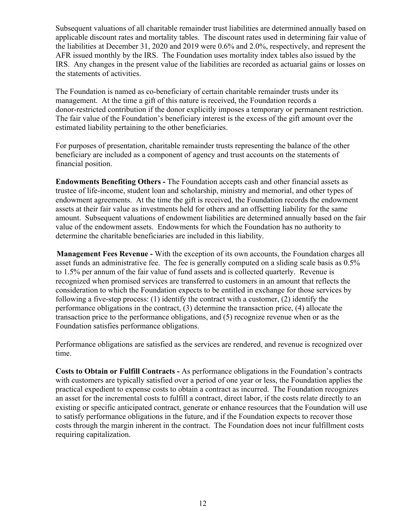Subsequent valuations of all charitable remainder trust liabilities are determined annually based on applicable discount rates and mortality tables. The discount rates used in determining fair value of the liabilities at December 31, 2020 and 2019 were 0.6% and 2.0%, respectively, and represent the AFR issued monthly by the IRS. The Foundation uses mortality index tables also issued by the IRS. Any changes in the present value of the liabilities are recorded as actuarial gains or losses on the statements of activities.

The Foundation is named as co-beneficiary of certain charitable remainder trusts under its management. At the time a gift of this nature is received, the Foundation records a donor-restricted contribution if the donor explicitly imposes a temporary or permanent restriction. The fair value of the Foundation's beneficiary interest is the excess of the gift amount over the estimated liability pertaining to the other beneficiaries.

For purposes of presentation, charitable remainder trusts representing the balance of the other beneficiary are included as a component of agency and trust accounts on the statements of financial position.

**Endowments Benefiting Others -** The Foundation accepts cash and other financial assets as trustee of life-income, student loan and scholarship, ministry and memorial, and other types of endowment agreements. At the time the gift is received, the Foundation records the endowment assets at their fair value as investments held for others and an offsetting liability for the same amount. Subsequent valuations of endowment liabilities are determined annually based on the fair value of the endowment assets. Endowments for which the Foundation has no authority to determine the charitable beneficiaries are included in this liability.

**Management Fees Revenue -** With the exception of its own accounts, the Foundation charges all asset funds an administrative fee. The fee is generally computed on a sliding scale basis as 0.5% to 1.5% per annum of the fair value of fund assets and is collected quarterly. Revenue is recognized when promised services are transferred to customers in an amount that reflects the consideration to which the Foundation expects to be entitled in exchange for those services by following a five-step process: (1) identify the contract with a customer, (2) identify the performance obligations in the contract, (3) determine the transaction price, (4) allocate the transaction price to the performance obligations, and (5) recognize revenue when or as the Foundation satisfies performance obligations.

Performance obligations are satisfied as the services are rendered, and revenue is recognized over time.

**Costs to Obtain or Fulfill Contracts -** As performance obligations in the Foundation's contracts with customers are typically satisfied over a period of one year or less, the Foundation applies the practical expedient to expense costs to obtain a contract as incurred. The Foundation recognizes an asset for the incremental costs to fulfill a contract, direct labor, if the costs relate directly to an existing or specific anticipated contract, generate or enhance resources that the Foundation will use to satisfy performance obligations in the future, and if the Foundation expects to recover those costs through the margin inherent in the contract. The Foundation does not incur fulfillment costs requiring capitalization.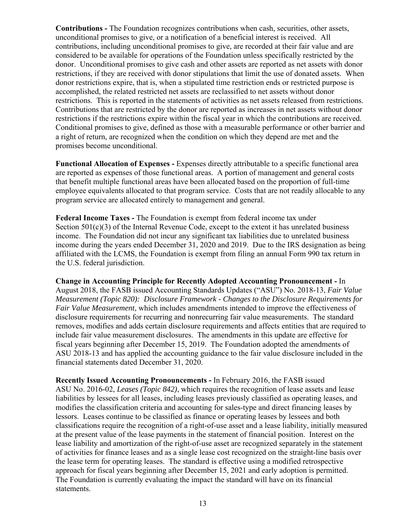**Contributions -** The Foundation recognizes contributions when cash, securities, other assets, unconditional promises to give, or a notification of a beneficial interest is received. All contributions, including unconditional promises to give, are recorded at their fair value and are considered to be available for operations of the Foundation unless specifically restricted by the donor. Unconditional promises to give cash and other assets are reported as net assets with donor restrictions, if they are received with donor stipulations that limit the use of donated assets. When donor restrictions expire, that is, when a stipulated time restriction ends or restricted purpose is accomplished, the related restricted net assets are reclassified to net assets without donor restrictions. This is reported in the statements of activities as net assets released from restrictions. Contributions that are restricted by the donor are reported as increases in net assets without donor restrictions if the restrictions expire within the fiscal year in which the contributions are received. Conditional promises to give, defined as those with a measurable performance or other barrier and a right of return, are recognized when the condition on which they depend are met and the promises become unconditional.

**Functional Allocation of Expenses -** Expenses directly attributable to a specific functional area are reported as expenses of those functional areas. A portion of management and general costs that benefit multiple functional areas have been allocated based on the proportion of full-time employee equivalents allocated to that program service. Costs that are not readily allocable to any program service are allocated entirely to management and general.

**Federal Income Taxes -** The Foundation is exempt from federal income tax under Section  $501(c)(3)$  of the Internal Revenue Code, except to the extent it has unrelated business income. The Foundation did not incur any significant tax liabilities due to unrelated business income during the years ended December 31, 2020 and 2019. Due to the IRS designation as being affiliated with the LCMS, the Foundation is exempt from filing an annual Form 990 tax return in the U.S. federal jurisdiction.

**Change in Accounting Principle for Recently Adopted Accounting Pronouncement -** In August 2018, the FASB issued Accounting Standards Updates ("ASU") No. 2018-13, *Fair Value Measurement (Topic 820): Disclosure Framework - Changes to the Disclosure Requirements for Fair Value Measurement*, which includes amendments intended to improve the effectiveness of disclosure requirements for recurring and nonrecurring fair value measurements. The standard removes, modifies and adds certain disclosure requirements and affects entities that are required to include fair value measurement disclosures. The amendments in this update are effective for fiscal years beginning after December 15, 2019. The Foundation adopted the amendments of ASU 2018-13 and has applied the accounting guidance to the fair value disclosure included in the financial statements dated December 31, 2020.

**Recently Issued Accounting Pronouncements -** In February 2016, the FASB issued ASU No. 2016-02, *Leases (Topic 842)*, which requires the recognition of lease assets and lease liabilities by lessees for all leases, including leases previously classified as operating leases, and modifies the classification criteria and accounting for sales-type and direct financing leases by lessors. Leases continue to be classified as finance or operating leases by lessees and both classifications require the recognition of a right-of-use asset and a lease liability, initially measured at the present value of the lease payments in the statement of financial position. Interest on the lease liability and amortization of the right-of-use asset are recognized separately in the statement of activities for finance leases and as a single lease cost recognized on the straight-line basis over the lease term for operating leases. The standard is effective using a modified retrospective approach for fiscal years beginning after December 15, 2021 and early adoption is permitted. The Foundation is currently evaluating the impact the standard will have on its financial statements.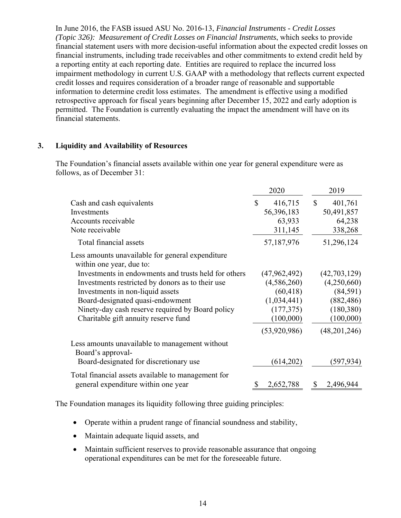In June 2016, the FASB issued ASU No. 2016-13, *Financial Instruments - Credit Losses (Topic 326): Measurement of Credit Losses on Financial Instruments*, which seeks to provide financial statement users with more decision-useful information about the expected credit losses on financial instruments, including trade receivables and other commitments to extend credit held by a reporting entity at each reporting date. Entities are required to replace the incurred loss impairment methodology in current U.S. GAAP with a methodology that reflects current expected credit losses and requires consideration of a broader range of reasonable and supportable information to determine credit loss estimates. The amendment is effective using a modified retrospective approach for fiscal years beginning after December 15, 2022 and early adoption is permitted. The Foundation is currently evaluating the impact the amendment will have on its financial statements.

#### **3. Liquidity and Availability of Resources**

The Foundation's financial assets available within one year for general expenditure were as follows, as of December 31:

|                                                                                                                              | 2020                                                           | 2019                                                           |
|------------------------------------------------------------------------------------------------------------------------------|----------------------------------------------------------------|----------------------------------------------------------------|
| Cash and cash equivalents<br>Investments<br>Accounts receivable<br>Note receivable<br>Total financial assets                 | \$<br>416,715<br>56,396,183<br>63,933<br>311,145<br>57,187,976 | \$<br>401,761<br>50,491,857<br>64,238<br>338,268<br>51,296,124 |
| Less amounts unavailable for general expenditure<br>within one year, due to:                                                 |                                                                |                                                                |
| Investments in endowments and trusts held for others<br>Investments restricted by donors as to their use                     | (47, 962, 492)<br>(4,586,260)                                  | (42,703,129)<br>(4,250,660)                                    |
| Investments in non-liquid assets                                                                                             | (60, 418)                                                      | (84, 591)                                                      |
| Board-designated quasi-endowment<br>Ninety-day cash reserve required by Board policy<br>Charitable gift annuity reserve fund | (1,034,441)<br>(177, 375)<br>(100,000)                         | (882, 486)<br>(180, 380)<br>(100,000)                          |
|                                                                                                                              | (53,920,986)                                                   | (48,201,246)                                                   |
| Less amounts unavailable to management without<br>Board's approval-                                                          |                                                                |                                                                |
| Board-designated for discretionary use                                                                                       | (614,202)                                                      | (597, 934)                                                     |
| Total financial assets available to management for<br>general expenditure within one year                                    | 2,652,788<br>\$                                                | 2,496,944<br>$\mathbb{S}$                                      |

The Foundation manages its liquidity following three guiding principles:

- Operate within a prudent range of financial soundness and stability,
- Maintain adequate liquid assets, and
- Maintain sufficient reserves to provide reasonable assurance that ongoing operational expenditures can be met for the foreseeable future.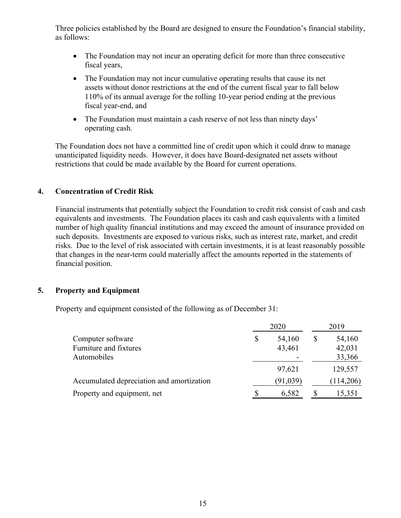Three policies established by the Board are designed to ensure the Foundation's financial stability, as follows:

- The Foundation may not incur an operating deficit for more than three consecutive fiscal years,
- The Foundation may not incur cumulative operating results that cause its net assets without donor restrictions at the end of the current fiscal year to fall below 110% of its annual average for the rolling 10-year period ending at the previous fiscal year-end, and
- The Foundation must maintain a cash reserve of not less than ninety days' operating cash.

The Foundation does not have a committed line of credit upon which it could draw to manage unanticipated liquidity needs. However, it does have Board-designated net assets without restrictions that could be made available by the Board for current operations.

## **4. Concentration of Credit Risk**

Financial instruments that potentially subject the Foundation to credit risk consist of cash and cash equivalents and investments. The Foundation places its cash and cash equivalents with a limited number of high quality financial institutions and may exceed the amount of insurance provided on such deposits. Investments are exposed to various risks, such as interest rate, market, and credit risks. Due to the level of risk associated with certain investments, it is at least reasonably possible that changes in the near-term could materially affect the amounts reported in the statements of financial position.

## **5. Property and Equipment**

Property and equipment consisted of the following as of December 31:

|                                           | 2020     | 2019      |
|-------------------------------------------|----------|-----------|
| Computer software                         | 54,160   | 54,160    |
| Furniture and fixtures                    | 43,461   | 42,031    |
| Automobiles                               |          | 33,366    |
|                                           | 97,621   | 129,557   |
| Accumulated depreciation and amortization | (91,039) | (114,206) |
| Property and equipment, net               | 6,582    | 15,351    |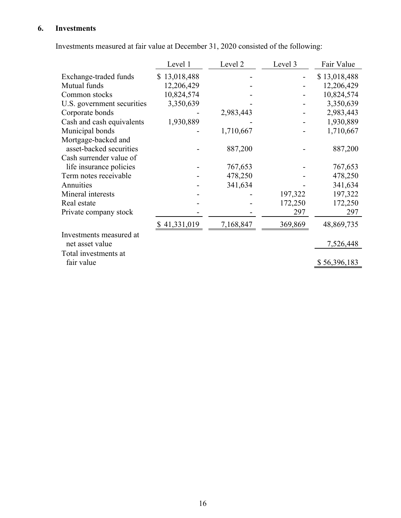# **6. Investments**

|                            | Level 1      | Level 2   | Level 3 | Fair Value   |
|----------------------------|--------------|-----------|---------|--------------|
| Exchange-traded funds      | \$13,018,488 |           |         | \$13,018,488 |
| Mutual funds               | 12,206,429   |           |         | 12,206,429   |
| Common stocks              | 10,824,574   |           |         | 10,824,574   |
| U.S. government securities | 3,350,639    |           |         | 3,350,639    |
| Corporate bonds            |              | 2,983,443 |         | 2,983,443    |
| Cash and cash equivalents  | 1,930,889    |           |         | 1,930,889    |
| Municipal bonds            |              | 1,710,667 |         | 1,710,667    |
| Mortgage-backed and        |              |           |         |              |
| asset-backed securities    |              | 887,200   |         | 887,200      |
| Cash surrender value of    |              |           |         |              |
| life insurance policies    |              | 767,653   |         | 767,653      |
| Term notes receivable      |              | 478,250   |         | 478,250      |
| Annuities                  |              | 341,634   |         | 341,634      |
| Mineral interests          |              |           | 197,322 | 197,322      |
| Real estate                |              |           | 172,250 | 172,250      |
| Private company stock      |              |           | 297     | 297          |
|                            | \$41,331,019 | 7,168,847 | 369,869 | 48,869,735   |
| Investments measured at    |              |           |         |              |
| net asset value            |              |           |         | 7,526,448    |
| Total investments at       |              |           |         |              |
| fair value                 |              |           |         | \$56,396,183 |
|                            |              |           |         |              |

Investments measured at fair value at December 31, 2020 consisted of the following: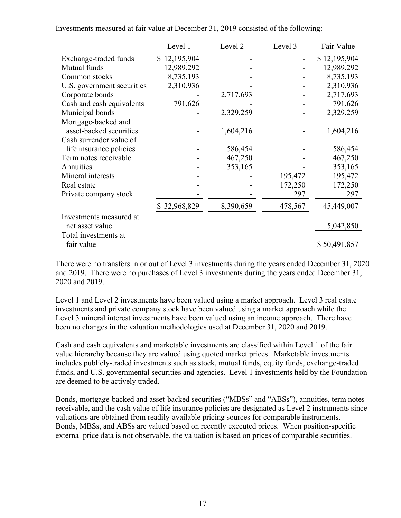|                            | Level 1          | Level 2   | Level 3 | Fair Value   |
|----------------------------|------------------|-----------|---------|--------------|
| Exchange-traded funds      | 12,195,904<br>S. |           |         | \$12,195,904 |
| Mutual funds               | 12,989,292       |           |         | 12,989,292   |
| Common stocks              | 8,735,193        |           |         | 8,735,193    |
| U.S. government securities | 2,310,936        |           |         | 2,310,936    |
| Corporate bonds            |                  | 2,717,693 |         | 2,717,693    |
| Cash and cash equivalents  | 791,626          |           |         | 791,626      |
| Municipal bonds            |                  | 2,329,259 |         | 2,329,259    |
| Mortgage-backed and        |                  |           |         |              |
| asset-backed securities    |                  | 1,604,216 |         | 1,604,216    |
| Cash surrender value of    |                  |           |         |              |
| life insurance policies    |                  | 586,454   |         | 586,454      |
| Term notes receivable      |                  | 467,250   |         | 467,250      |
| Annuities                  |                  | 353,165   |         | 353,165      |
| Mineral interests          |                  |           | 195,472 | 195,472      |
| Real estate                |                  |           | 172,250 | 172,250      |
| Private company stock      |                  |           | 297     | 297          |
|                            | \$32,968,829     | 8,390,659 | 478,567 | 45,449,007   |
| Investments measured at    |                  |           |         |              |
| net asset value            |                  |           |         | 5,042,850    |
| Total investments at       |                  |           |         |              |
| fair value                 |                  |           |         | \$50,491,857 |

Investments measured at fair value at December 31, 2019 consisted of the following:

There were no transfers in or out of Level 3 investments during the years ended December 31, 2020 and 2019. There were no purchases of Level 3 investments during the years ended December 31, 2020 and 2019.

Level 1 and Level 2 investments have been valued using a market approach. Level 3 real estate investments and private company stock have been valued using a market approach while the Level 3 mineral interest investments have been valued using an income approach. There have been no changes in the valuation methodologies used at December 31, 2020 and 2019.

Cash and cash equivalents and marketable investments are classified within Level 1 of the fair value hierarchy because they are valued using quoted market prices. Marketable investments includes publicly-traded investments such as stock, mutual funds, equity funds, exchange-traded funds, and U.S. governmental securities and agencies. Level 1 investments held by the Foundation are deemed to be actively traded.

Bonds, mortgage-backed and asset-backed securities ("MBSs" and "ABSs"), annuities, term notes receivable, and the cash value of life insurance policies are designated as Level 2 instruments since valuations are obtained from readily-available pricing sources for comparable instruments. Bonds, MBSs, and ABSs are valued based on recently executed prices. When position-specific external price data is not observable, the valuation is based on prices of comparable securities.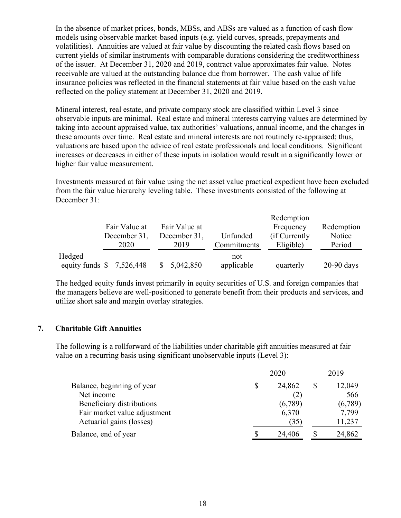In the absence of market prices, bonds, MBSs, and ABSs are valued as a function of cash flow models using observable market-based inputs (e.g. yield curves, spreads, prepayments and volatilities). Annuities are valued at fair value by discounting the related cash flows based on current yields of similar instruments with comparable durations considering the creditworthiness of the issuer. At December 31, 2020 and 2019, contract value approximates fair value. Notes receivable are valued at the outstanding balance due from borrower. The cash value of life insurance policies was reflected in the financial statements at fair value based on the cash value reflected on the policy statement at December 31, 2020 and 2019.

Mineral interest, real estate, and private company stock are classified within Level 3 since observable inputs are minimal. Real estate and mineral interests carrying values are determined by taking into account appraised value, tax authorities' valuations, annual income, and the changes in these amounts over time. Real estate and mineral interests are not routinely re-appraised; thus, valuations are based upon the advice of real estate professionals and local conditions. Significant increases or decreases in either of these inputs in isolation would result in a significantly lower or higher fair value measurement.

Investments measured at fair value using the net asset value practical expedient have been excluded from the fair value hierarchy leveling table. These investments consisted of the following at December 31:

|        |                           |               |             | Redemption     |              |
|--------|---------------------------|---------------|-------------|----------------|--------------|
|        | Fair Value at             | Fair Value at |             | Frequency      | Redemption   |
|        | December 31,              | December 31,  | Unfunded    | (if Currently) | Notice       |
|        | 2020                      | 2019          | Commitments | Eligible)      | Period       |
| Hedged |                           |               | not         |                |              |
|        | equity funds $$7,526,448$ | 5,042,850     | applicable  | quarterly      | $20-90$ days |

The hedged equity funds invest primarily in equity securities of U.S. and foreign companies that the managers believe are well-positioned to generate benefit from their products and services, and utilize short sale and margin overlay strategies.

## **7. Charitable Gift Annuities**

The following is a rollforward of the liabilities under charitable gift annuities measured at fair value on a recurring basis using significant unobservable inputs (Level 3):

|                              | 2020    |   | 2019    |
|------------------------------|---------|---|---------|
| Balance, beginning of year   | 24,862  |   | 12,049  |
| Net income                   | (2)     |   | 566     |
| Beneficiary distributions    | (6,789) |   | (6,789) |
| Fair market value adjustment | 6,370   |   | 7,799   |
| Actuarial gains (losses)     | (35)    |   | 11,237  |
| Balance, end of year         | 24,406  | S | 24,862  |
|                              |         |   |         |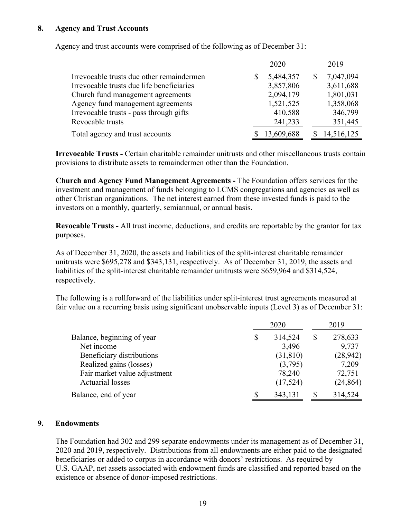#### **8. Agency and Trust Accounts**

|                                           | 2020 |            | 2019       |
|-------------------------------------------|------|------------|------------|
| Irrevocable trusts due other remaindermen | S    | 5,484,357  | 7,047,094  |
| Irrevocable trusts due life beneficiaries |      | 3,857,806  | 3,611,688  |
| Church fund management agreements         |      | 2,094,179  | 1,801,031  |
| Agency fund management agreements         |      | 1,521,525  | 1,358,068  |
| Irrevocable trusts - pass through gifts   |      | 410,588    | 346,799    |
| Revocable trusts                          |      | 241,233    | 351,445    |
| Total agency and trust accounts           |      | 13,609,688 | 14,516,125 |

Agency and trust accounts were comprised of the following as of December 31:

**Irrevocable Trusts -** Certain charitable remainder unitrusts and other miscellaneous trusts contain provisions to distribute assets to remaindermen other than the Foundation.

**Church and Agency Fund Management Agreements -** The Foundation offers services for the investment and management of funds belonging to LCMS congregations and agencies as well as other Christian organizations. The net interest earned from these invested funds is paid to the investors on a monthly, quarterly, semiannual, or annual basis.

**Revocable Trusts -** All trust income, deductions, and credits are reportable by the grantor for tax purposes.

As of December 31, 2020, the assets and liabilities of the split-interest charitable remainder unitrusts were \$695,278 and \$343,131, respectively. As of December 31, 2019, the assets and liabilities of the split-interest charitable remainder unitrusts were \$659,964 and \$314,524, respectively.

The following is a rollforward of the liabilities under split-interest trust agreements measured at fair value on a recurring basis using significant unobservable inputs (Level 3) as of December 31:

|                              | 2020 |           |   | 2019      |  |  |
|------------------------------|------|-----------|---|-----------|--|--|
| Balance, beginning of year   |      | 314,524   | S | 278,633   |  |  |
| Net income                   |      | 3,496     |   | 9,737     |  |  |
| Beneficiary distributions    |      | (31, 810) |   | (28, 942) |  |  |
| Realized gains (losses)      |      | (3,795)   |   | 7,209     |  |  |
| Fair market value adjustment |      | 78,240    |   | 72,751    |  |  |
| <b>Actuarial losses</b>      |      | (17, 524) |   | (24, 864) |  |  |
| Balance, end of year         |      | 343,131   | S | 314,524   |  |  |

#### **9. Endowments**

The Foundation had 302 and 299 separate endowments under its management as of December 31, 2020 and 2019, respectively. Distributions from all endowments are either paid to the designated beneficiaries or added to corpus in accordance with donors' restrictions. As required by U.S. GAAP, net assets associated with endowment funds are classified and reported based on the existence or absence of donor-imposed restrictions.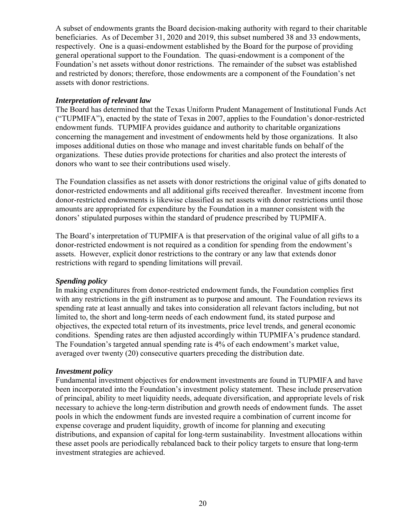A subset of endowments grants the Board decision-making authority with regard to their charitable beneficiaries. As of December 31, 2020 and 2019, this subset numbered 38 and 33 endowments, respectively. One is a quasi-endowment established by the Board for the purpose of providing general operational support to the Foundation. The quasi-endowment is a component of the Foundation's net assets without donor restrictions. The remainder of the subset was established and restricted by donors; therefore, those endowments are a component of the Foundation's net assets with donor restrictions.

#### *Interpretation of relevant law*

The Board has determined that the Texas Uniform Prudent Management of Institutional Funds Act ("TUPMIFA"), enacted by the state of Texas in 2007, applies to the Foundation's donor-restricted endowment funds. TUPMIFA provides guidance and authority to charitable organizations concerning the management and investment of endowments held by those organizations. It also imposes additional duties on those who manage and invest charitable funds on behalf of the organizations. These duties provide protections for charities and also protect the interests of donors who want to see their contributions used wisely.

The Foundation classifies as net assets with donor restrictions the original value of gifts donated to donor-restricted endowments and all additional gifts received thereafter. Investment income from donor-restricted endowments is likewise classified as net assets with donor restrictions until those amounts are appropriated for expenditure by the Foundation in a manner consistent with the donors' stipulated purposes within the standard of prudence prescribed by TUPMIFA.

The Board's interpretation of TUPMIFA is that preservation of the original value of all gifts to a donor-restricted endowment is not required as a condition for spending from the endowment's assets. However, explicit donor restrictions to the contrary or any law that extends donor restrictions with regard to spending limitations will prevail.

## *Spending policy*

In making expenditures from donor-restricted endowment funds, the Foundation complies first with any restrictions in the gift instrument as to purpose and amount. The Foundation reviews its spending rate at least annually and takes into consideration all relevant factors including, but not limited to, the short and long-term needs of each endowment fund, its stated purpose and objectives, the expected total return of its investments, price level trends, and general economic conditions. Spending rates are then adjusted accordingly within TUPMIFA's prudence standard. The Foundation's targeted annual spending rate is 4% of each endowment's market value, averaged over twenty (20) consecutive quarters preceding the distribution date.

#### *Investment policy*

Fundamental investment objectives for endowment investments are found in TUPMIFA and have been incorporated into the Foundation's investment policy statement. These include preservation of principal, ability to meet liquidity needs, adequate diversification, and appropriate levels of risk necessary to achieve the long-term distribution and growth needs of endowment funds. The asset pools in which the endowment funds are invested require a combination of current income for expense coverage and prudent liquidity, growth of income for planning and executing distributions, and expansion of capital for long-term sustainability. Investment allocations within these asset pools are periodically rebalanced back to their policy targets to ensure that long-term investment strategies are achieved.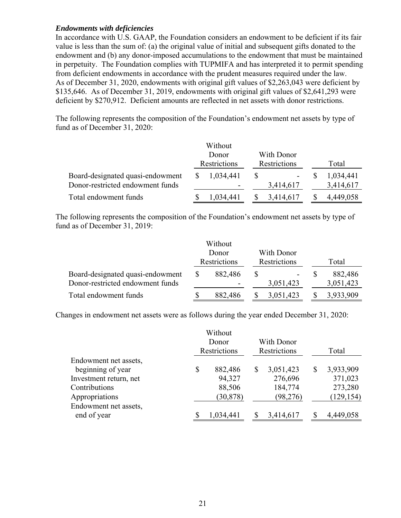#### *Endowments with deficiencies*

In accordance with U.S. GAAP, the Foundation considers an endowment to be deficient if its fair value is less than the sum of: (a) the original value of initial and subsequent gifts donated to the endowment and (b) any donor-imposed accumulations to the endowment that must be maintained in perpetuity. The Foundation complies with TUPMIFA and has interpreted it to permit spending from deficient endowments in accordance with the prudent measures required under the law. As of December 31, 2020, endowments with original gift values of \$2,263,043 were deficient by \$135,646. As of December 31, 2019, endowments with original gift values of \$2,641,293 were deficient by \$270,912. Deficient amounts are reflected in net assets with donor restrictions.

The following represents the composition of the Foundation's endowment net assets by type of fund as of December 31, 2020:

|                                  |              | Without   |              |                          |           |
|----------------------------------|--------------|-----------|--------------|--------------------------|-----------|
|                                  | Donor        |           |              | With Donor               |           |
|                                  | Restrictions |           | Restrictions |                          | Total     |
| Board-designated quasi-endowment |              | 1,034,441 |              | $\overline{\phantom{a}}$ | 1,034,441 |
| Donor-restricted endowment funds |              | ۰         |              | 3,414,617                | 3,414,617 |
| Total endowment funds            |              | 1,034,441 |              | 3,414,617                | 4,449,058 |

The following represents the composition of the Foundation's endowment net assets by type of fund as of December 31, 2019:

|                                  |              | Without |              |            |       |           |
|----------------------------------|--------------|---------|--------------|------------|-------|-----------|
|                                  | Donor        |         |              | With Donor |       |           |
|                                  | Restrictions |         | Restrictions |            | Total |           |
| Board-designated quasi-endowment |              | 882,486 | \$           | ۰          |       | 882,486   |
| Donor-restricted endowment funds |              |         |              | 3,051,423  |       | 3,051,423 |
| Total endowment funds            |              | 882,486 |              | 3,051,423  |       | 3,933,909 |

Changes in endowment net assets were as follows during the year ended December 31, 2020:

|                        |    | Without      |                 |                 |
|------------------------|----|--------------|-----------------|-----------------|
|                        |    | Donor        | With Donor      |                 |
|                        |    | Restrictions | Restrictions    | Total           |
| Endowment net assets,  |    |              |                 |                 |
| beginning of year      | \$ | 882,486      | \$<br>3,051,423 | \$<br>3,933,909 |
| Investment return, net |    | 94,327       | 276,696         | 371,023         |
| Contributions          |    | 88,506       | 184,774         | 273,280         |
| Appropriations         |    | (30, 878)    | (98, 276)       | (129, 154)      |
| Endowment net assets,  |    |              |                 |                 |
| end of year            | S  | 1,034,441    | 3,414,617       | 4,449,058       |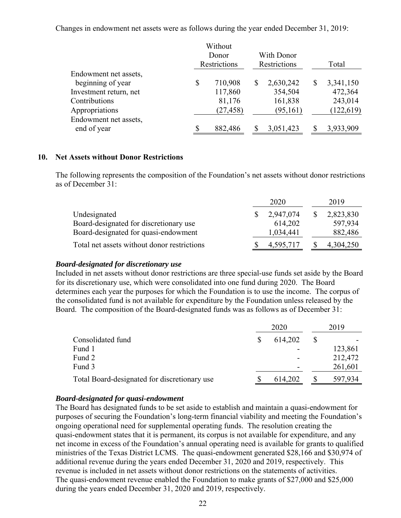Changes in endowment net assets were as follows during the year ended December 31, 2019:

|                        | Without       |            |              |                 |
|------------------------|---------------|------------|--------------|-----------------|
|                        | Donor         | With Donor |              |                 |
|                        | Restrictions  |            | Restrictions | Total           |
| Endowment net assets,  |               |            |              |                 |
| beginning of year      | \$<br>710,908 |            | 2,630,242    | \$<br>3,341,150 |
| Investment return, net | 117,860       |            | 354,504      | 472,364         |
| Contributions          | 81,176        |            | 161,838      | 243,014         |
| Appropriations         | (27, 458)     |            | (95, 161)    | (122, 619)      |
| Endowment net assets,  |               |            |              |                 |
| end of year            | \$<br>882,486 |            | 3,051,423    | 3,933,909       |

#### **10. Net Assets without Donor Restrictions**

The following represents the composition of the Foundation's net assets without donor restrictions as of December 31:

|                                             | 2020 |           |  | 2019      |
|---------------------------------------------|------|-----------|--|-----------|
| Undesignated                                |      | 2,947,074 |  | 2,823,830 |
| Board-designated for discretionary use      |      | 614,202   |  | 597,934   |
| Board-designated for quasi-endowment        |      | 1,034,441 |  | 882,486   |
| Total net assets without donor restrictions |      | 4,595,717 |  | 4,304,250 |

#### *Board-designated for discretionary use*

Included in net assets without donor restrictions are three special-use funds set aside by the Board for its discretionary use, which were consolidated into one fund during 2020. The Board determines each year the purposes for which the Foundation is to use the income. The corpus of the consolidated fund is not available for expenditure by the Foundation unless released by the Board. The composition of the Board-designated funds was as follows as of December 31:

|                                              | 2020 |         | 2019 |         |
|----------------------------------------------|------|---------|------|---------|
| Consolidated fund                            |      | 614,202 |      |         |
| Fund 1                                       |      |         |      | 123,861 |
| Fund 2                                       |      |         |      | 212,472 |
| Fund 3                                       |      | -       |      | 261,601 |
| Total Board-designated for discretionary use |      | 614,202 |      | 597,934 |

#### *Board-designated for quasi-endowment*

The Board has designated funds to be set aside to establish and maintain a quasi-endowment for purposes of securing the Foundation's long-term financial viability and meeting the Foundation's ongoing operational need for supplemental operating funds. The resolution creating the quasi-endowment states that it is permanent, its corpus is not available for expenditure, and any net income in excess of the Foundation's annual operating need is available for grants to qualified ministries of the Texas District LCMS. The quasi-endowment generated \$28,166 and \$30,974 of additional revenue during the years ended December 31, 2020 and 2019, respectively. This revenue is included in net assets without donor restrictions on the statements of activities. The quasi-endowment revenue enabled the Foundation to make grants of \$27,000 and \$25,000 during the years ended December 31, 2020 and 2019, respectively.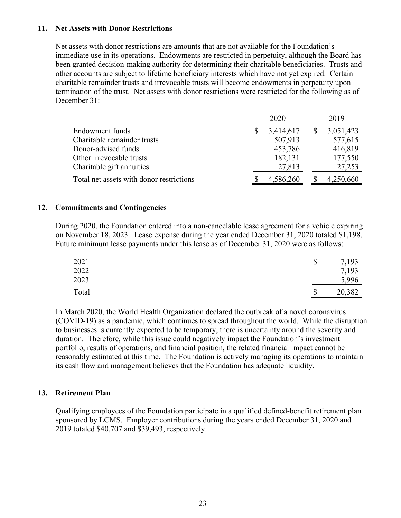#### **11. Net Assets with Donor Restrictions**

Net assets with donor restrictions are amounts that are not available for the Foundation's immediate use in its operations. Endowments are restricted in perpetuity, although the Board has been granted decision-making authority for determining their charitable beneficiaries. Trusts and other accounts are subject to lifetime beneficiary interests which have not yet expired. Certain charitable remainder trusts and irrevocable trusts will become endowments in perpetuity upon termination of the trust. Net assets with donor restrictions were restricted for the following as of December 31:

|                                          | 2020      | 2019      |
|------------------------------------------|-----------|-----------|
| Endowment funds                          | 3,414,617 | 3,051,423 |
| Charitable remainder trusts              | 507,913   | 577,615   |
| Donor-advised funds                      | 453,786   | 416,819   |
| Other irrevocable trusts                 | 182,131   | 177,550   |
| Charitable gift annuities                | 27,813    | 27,253    |
| Total net assets with donor restrictions | 4,586,260 | 4,250,660 |

#### **12. Commitments and Contingencies**

During 2020, the Foundation entered into a non-cancelable lease agreement for a vehicle expiring on November 18, 2023. Lease expense during the year ended December 31, 2020 totaled \$1,198. Future minimum lease payments under this lease as of December 31, 2020 were as follows:

| 2021<br>2022<br>2023 | $\boldsymbol{\mathsf{S}}$ | 7,193<br>7,193<br>5,996 |
|----------------------|---------------------------|-------------------------|
| Total                | $\boldsymbol{\mathsf{S}}$ | 20,382                  |

In March 2020, the World Health Organization declared the outbreak of a novel coronavirus (COVID-19) as a pandemic, which continues to spread throughout the world. While the disruption to businesses is currently expected to be temporary, there is uncertainty around the severity and duration. Therefore, while this issue could negatively impact the Foundation's investment portfolio, results of operations, and financial position, the related financial impact cannot be reasonably estimated at this time. The Foundation is actively managing its operations to maintain its cash flow and management believes that the Foundation has adequate liquidity.

#### **13. Retirement Plan**

Qualifying employees of the Foundation participate in a qualified defined-benefit retirement plan sponsored by LCMS. Employer contributions during the years ended December 31, 2020 and 2019 totaled \$40,707 and \$39,493, respectively.